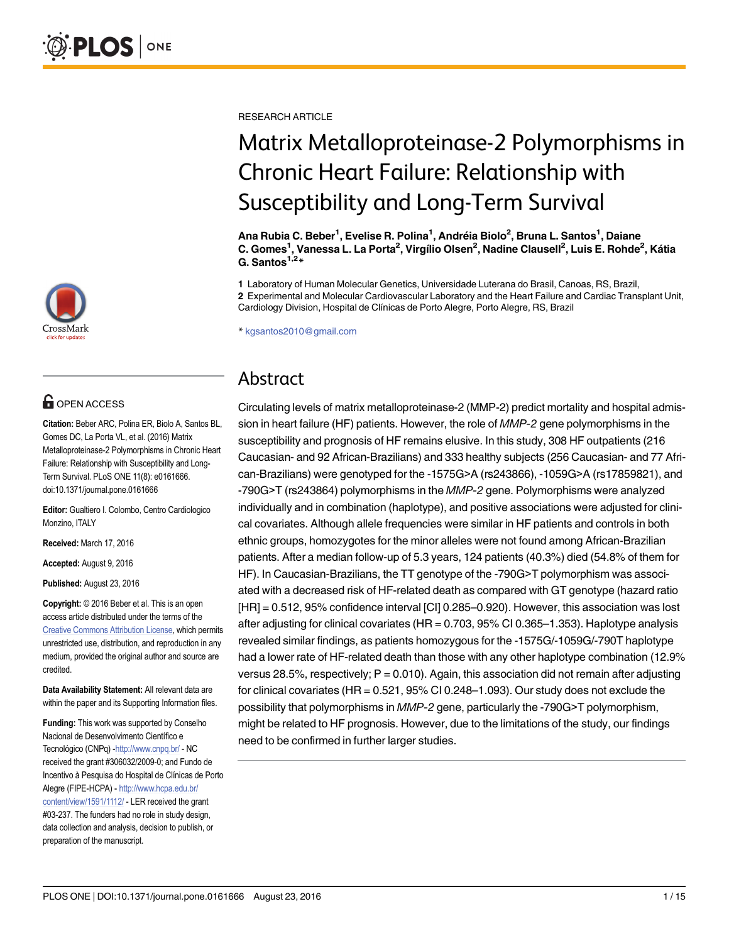

# **G** OPEN ACCESS

Citation: Beber ARC, Polina ER, Biolo A, Santos BL, Gomes DC, La Porta VL, et al. (2016) Matrix Metalloproteinase-2 Polymorphisms in Chronic Heart Failure: Relationship with Susceptibility and Long-Term Survival. PLoS ONE 11(8): e0161666. doi:10.1371/journal.pone.0161666

Editor: Gualtiero I. Colombo, Centro Cardiologico Monzino, ITALY

Received: March 17, 2016

Accepted: August 9, 2016

Published: August 23, 2016

Copyright: © 2016 Beber et al. This is an open access article distributed under the terms of the [Creative Commons Attribution License,](http://creativecommons.org/licenses/by/4.0/) which permits unrestricted use, distribution, and reproduction in any medium, provided the original author and source are credited.

Data Availability Statement: All relevant data are within the paper and its Supporting Information files.

Funding: This work was supported by Conselho Nacional de Desenvolvimento Científico e Tecnológico (CNPq) - <http://www.cnpq.br/> - NC received the grant #306032/2009-0; and Fundo de Incentivo à Pesquisa do Hospital de Clínicas de Porto Alegre (FIPE-HCPA) - [http://www.hcpa.edu.br/](http://www.hcpa.edu.br/content/view/1591/1112/) [content/view/1591/1112/](http://www.hcpa.edu.br/content/view/1591/1112/) - LER received the grant #03-237. The funders had no role in study design, data collection and analysis, decision to publish, or preparation of the manuscript.

RESEARCH ARTICLE

# Matrix Metalloproteinase-2 Polymorphisms in Chronic Heart Failure: Relationship with Susceptibility and Long-Term Survival

Ana Rubia C. Beber<sup>1</sup>, Evelise R. Polina<sup>1</sup>, Andréia Biolo<sup>2</sup>, Bruna L. Santos<sup>1</sup>, Daiane C. Gomes<sup>1</sup>, Vanessa L. La Porta<sup>2</sup>, Virgílio Olsen<sup>2</sup>, Nadine Clausell<sup>2</sup>, Luis E. Rohde<sup>2</sup>, Kátia G. Santos $1,2*$ 

1 Laboratory of Human Molecular Genetics, Universidade Luterana do Brasil, Canoas, RS, Brazil, 2 Experimental and Molecular Cardiovascular Laboratory and the Heart Failure and Cardiac Transplant Unit, Cardiology Division, Hospital de Clínicas de Porto Alegre, Porto Alegre, RS, Brazil

\* kgsantos2010@gmail.com

# Abstract

Circulating levels of matrix metalloproteinase-2 (MMP-2) predict mortality and hospital admission in heart failure (HF) patients. However, the role of MMP-2 gene polymorphisms in the susceptibility and prognosis of HF remains elusive. In this study, 308 HF outpatients (216 Caucasian- and 92 African-Brazilians) and 333 healthy subjects (256 Caucasian- and 77 African-Brazilians) were genotyped for the -1575G>A (rs243866), -1059G>A (rs17859821), and -790G>T (rs243864) polymorphisms in the MMP-2 gene. Polymorphisms were analyzed individually and in combination (haplotype), and positive associations were adjusted for clinical covariates. Although allele frequencies were similar in HF patients and controls in both ethnic groups, homozygotes for the minor alleles were not found among African-Brazilian patients. After a median follow-up of 5.3 years, 124 patients (40.3%) died (54.8% of them for HF). In Caucasian-Brazilians, the TT genotype of the -790G>T polymorphism was associated with a decreased risk of HF-related death as compared with GT genotype (hazard ratio [HR] = 0.512, 95% confidence interval [CI] 0.285–0.920). However, this association was lost after adjusting for clinical covariates (HR = 0.703, 95% CI 0.365–1.353). Haplotype analysis revealed similar findings, as patients homozygous for the -1575G/-1059G/-790T haplotype had a lower rate of HF-related death than those with any other haplotype combination (12.9% versus 28.5%, respectively;  $P = 0.010$ ). Again, this association did not remain after adjusting for clinical covariates (HR = 0.521, 95% CI 0.248–1.093). Our study does not exclude the possibility that polymorphisms in MMP-2 gene, particularly the -790G>T polymorphism, might be related to HF prognosis. However, due to the limitations of the study, our findings need to be confirmed in further larger studies.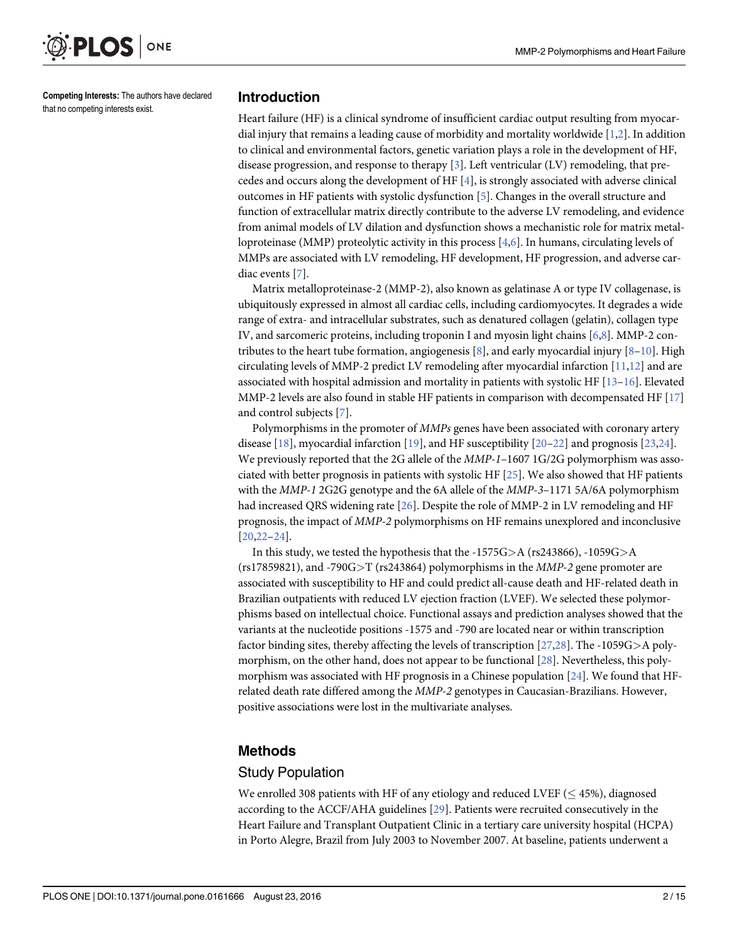<span id="page-1-0"></span>

Competing Interests: The authors have declared that no competing interests exist.

#### Introduction

Heart failure (HF) is a clinical syndrome of insufficient cardiac output resulting from myocardial injury that remains a leading cause of morbidity and mortality worldwide  $[1,2]$ . In addition to clinical and environmental factors, genetic variation plays a role in the development of HF, disease progression, and response to therapy [[3](#page-12-0)]. Left ventricular (LV) remodeling, that precedes and occurs along the development of HF  $[4]$ , is strongly associated with adverse clinical outcomes in HF patients with systolic dysfunction  $[5]$  $[5]$  $[5]$ . Changes in the overall structure and function of extracellular matrix directly contribute to the adverse LV remodeling, and evidence from animal models of LV dilation and dysfunction shows a mechanistic role for matrix metalloproteinase (MMP) proteolytic activity in this process [[4,6\]](#page-12-0). In humans, circulating levels of MMPs are associated with LV remodeling, HF development, HF progression, and adverse cardiac events [\[7](#page-12-0)].

Matrix metalloproteinase-2 (MMP-2), also known as gelatinase A or type IV collagenase, is ubiquitously expressed in almost all cardiac cells, including cardiomyocytes. It degrades a wide range of extra- and intracellular substrates, such as denatured collagen (gelatin), collagen type IV, and sarcomeric proteins, including troponin I and myosin light chains [\[6,8\]](#page-12-0). MMP-2 con-tributes to the heart tube formation, angiogenesis [\[8](#page-12-0)], and early myocardial injury [8–[10\]](#page-13-0). High circulating levels of MMP-2 predict LV remodeling after myocardial infarction  $[11,12]$  $[11,12]$  $[11,12]$  $[11,12]$  $[11,12]$  and are associated with hospital admission and mortality in patients with systolic HF [\[13](#page-13-0)–[16](#page-13-0)]. Elevated MMP-2 levels are also found in stable HF patients in comparison with decompensated HF [[17](#page-13-0)] and control subjects [\[7](#page-12-0)].

Polymorphisms in the promoter of MMPs genes have been associated with coronary artery disease [\[18](#page-13-0)], myocardial infarction [[19](#page-13-0)], and HF susceptibility [[20](#page-13-0)–[22](#page-13-0)] and prognosis [\[23,24\]](#page-13-0). We previously reported that the 2G allele of the *MMP-1*–1607 1G/2G polymorphism was associated with better prognosis in patients with systolic HF [[25](#page-13-0)]. We also showed that HF patients with the MMP-1 2G2G genotype and the 6A allele of the MMP-3-1171 5A/6A polymorphism had increased QRS widening rate [\[26\]](#page-13-0). Despite the role of MMP-2 in LV remodeling and HF prognosis, the impact of MMP-2 polymorphisms on HF remains unexplored and inconclusive  $[20, 22 - 24]$  $[20, 22 - 24]$ .

In this study, we tested the hypothesis that the -1575G $>A$  (rs243866), -1059G $>A$ (rs17859821), and -790G $\geq$ T (rs243864) polymorphisms in the *MMP-2* gene promoter are associated with susceptibility to HF and could predict all-cause death and HF-related death in Brazilian outpatients with reduced LV ejection fraction (LVEF). We selected these polymorphisms based on intellectual choice. Functional assays and prediction analyses showed that the variants at the nucleotide positions -1575 and -790 are located near or within transcription factor binding sites, thereby affecting the levels of transcription [[27](#page-13-0)[,28\]](#page-14-0). The -1059G>A polymorphism, on the other hand, does not appear to be functional [[28](#page-14-0)]. Nevertheless, this polymorphism was associated with HF prognosis in a Chinese population [\[24](#page-13-0)]. We found that HFrelated death rate differed among the MMP-2 genotypes in Caucasian-Brazilians. However, positive associations were lost in the multivariate analyses.

## Methods

#### Study Population

We enrolled 308 patients with HF of any etiology and reduced LVEF  $(< 45\%)$ , diagnosed according to the ACCF/AHA guidelines [\[29\]](#page-14-0). Patients were recruited consecutively in the Heart Failure and Transplant Outpatient Clinic in a tertiary care university hospital (HCPA) in Porto Alegre, Brazil from July 2003 to November 2007. At baseline, patients underwent a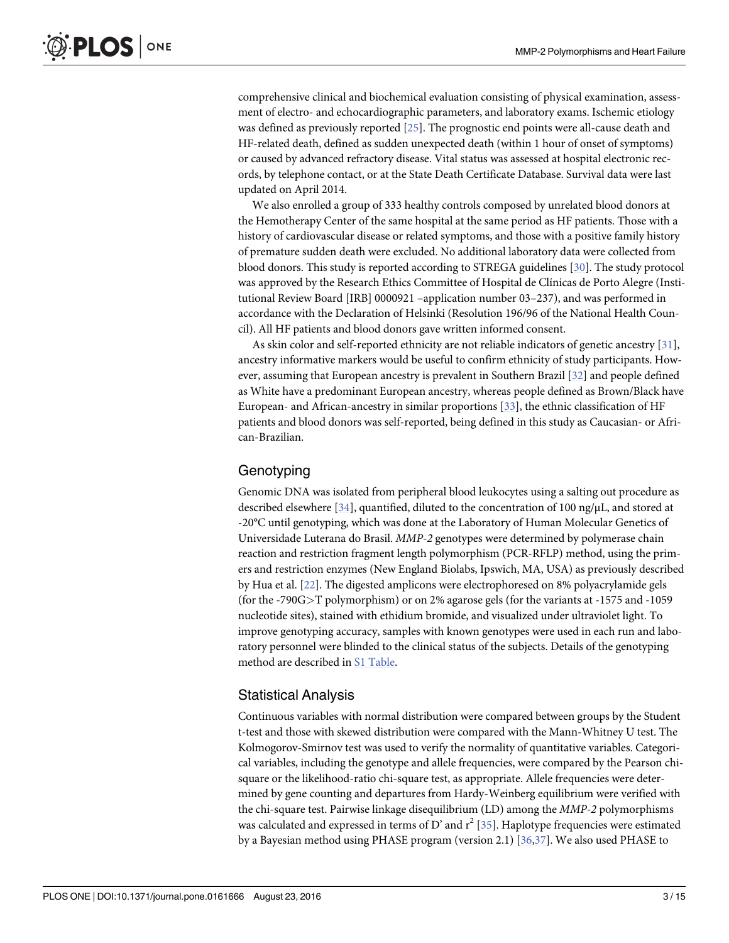<span id="page-2-0"></span>comprehensive clinical and biochemical evaluation consisting of physical examination, assessment of electro- and echocardiographic parameters, and laboratory exams. Ischemic etiology was defined as previously reported [\[25\]](#page-13-0). The prognostic end points were all-cause death and HF-related death, defined as sudden unexpected death (within 1 hour of onset of symptoms) or caused by advanced refractory disease. Vital status was assessed at hospital electronic records, by telephone contact, or at the State Death Certificate Database. Survival data were last updated on April 2014.

We also enrolled a group of 333 healthy controls composed by unrelated blood donors at the Hemotherapy Center of the same hospital at the same period as HF patients. Those with a history of cardiovascular disease or related symptoms, and those with a positive family history of premature sudden death were excluded. No additional laboratory data were collected from blood donors. This study is reported according to STREGA guidelines [\[30\]](#page-14-0). The study protocol was approved by the Research Ethics Committee of Hospital de Clínicas de Porto Alegre (Institutional Review Board [IRB] 0000921 –application number 03–237), and was performed in accordance with the Declaration of Helsinki (Resolution 196/96 of the National Health Council). All HF patients and blood donors gave written informed consent.

As skin color and self-reported ethnicity are not reliable indicators of genetic ancestry [[31](#page-14-0)], ancestry informative markers would be useful to confirm ethnicity of study participants. However, assuming that European ancestry is prevalent in Southern Brazil [\[32\]](#page-14-0) and people defined as White have a predominant European ancestry, whereas people defined as Brown/Black have European- and African-ancestry in similar proportions [\[33](#page-14-0)], the ethnic classification of HF patients and blood donors was self-reported, being defined in this study as Caucasian- or African-Brazilian.

#### **Genotyping**

Genomic DNA was isolated from peripheral blood leukocytes using a salting out procedure as described elsewhere [\[34\]](#page-14-0), quantified, diluted to the concentration of 100 ng/ $\mu$ L, and stored at -20°C until genotyping, which was done at the Laboratory of Human Molecular Genetics of Universidade Luterana do Brasil. MMP-2 genotypes were determined by polymerase chain reaction and restriction fragment length polymorphism (PCR-RFLP) method, using the primers and restriction enzymes (New England Biolabs, Ipswich, MA, USA) as previously described by Hua et al. [\[22\]](#page-13-0). The digested amplicons were electrophoresed on 8% polyacrylamide gels (for the -790G>T polymorphism) or on 2% agarose gels (for the variants at -1575 and -1059 nucleotide sites), stained with ethidium bromide, and visualized under ultraviolet light. To improve genotyping accuracy, samples with known genotypes were used in each run and laboratory personnel were blinded to the clinical status of the subjects. Details of the genotyping method are described in [S1 Table.](#page-11-0)

#### Statistical Analysis

Continuous variables with normal distribution were compared between groups by the Student t-test and those with skewed distribution were compared with the Mann-Whitney U test. The Kolmogorov-Smirnov test was used to verify the normality of quantitative variables. Categorical variables, including the genotype and allele frequencies, were compared by the Pearson chisquare or the likelihood-ratio chi-square test, as appropriate. Allele frequencies were determined by gene counting and departures from Hardy-Weinberg equilibrium were verified with the chi-square test. Pairwise linkage disequilibrium (LD) among the MMP-2 polymorphisms was calculated and expressed in terms of D' and  $r^2$  [[35](#page-14-0)]. Haplotype frequencies were estimated by a Bayesian method using PHASE program (version 2.1) [\[36,37\]](#page-14-0). We also used PHASE to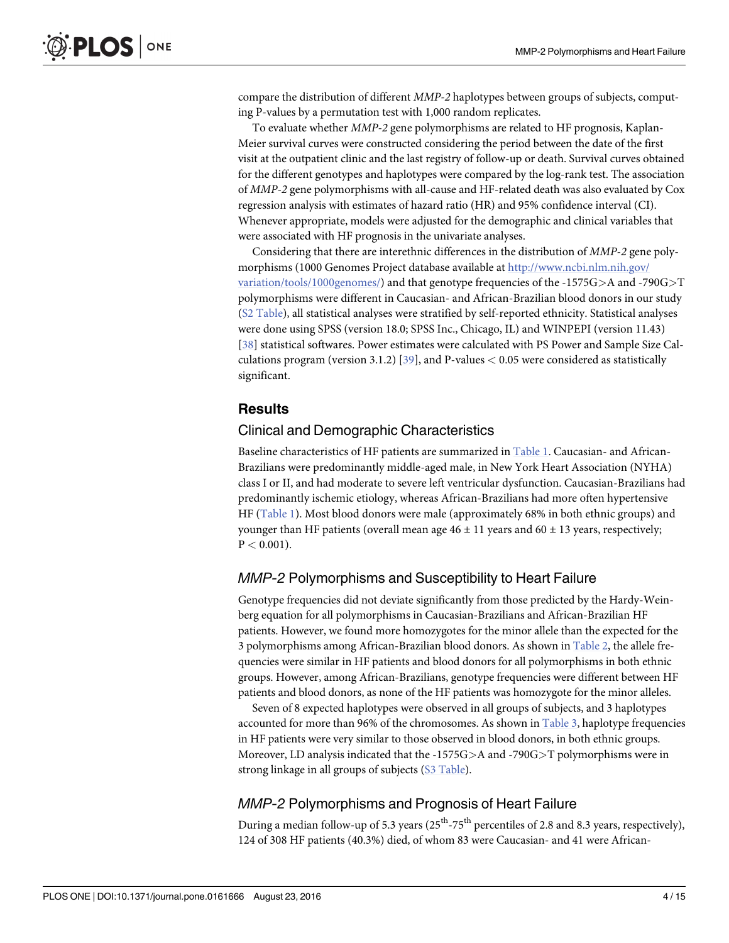<span id="page-3-0"></span>compare the distribution of different MMP-2 haplotypes between groups of subjects, computing P-values by a permutation test with 1,000 random replicates.

To evaluate whether MMP-2 gene polymorphisms are related to HF prognosis, Kaplan-Meier survival curves were constructed considering the period between the date of the first visit at the outpatient clinic and the last registry of follow-up or death. Survival curves obtained for the different genotypes and haplotypes were compared by the log-rank test. The association of MMP-2 gene polymorphisms with all-cause and HF-related death was also evaluated by Cox regression analysis with estimates of hazard ratio (HR) and 95% confidence interval (CI). Whenever appropriate, models were adjusted for the demographic and clinical variables that were associated with HF prognosis in the univariate analyses.

Considering that there are interethnic differences in the distribution of MMP-2 gene polymorphisms (1000 Genomes Project database available at [http://www.ncbi.nlm.nih.gov/](http://www.ncbi.nlm.nih.gov/variation/tools/1000genomes/) [variation/tools/1000genomes/\)](http://www.ncbi.nlm.nih.gov/variation/tools/1000genomes/) and that genotype frequencies of the -1575G>A and -790G>T polymorphisms were different in Caucasian- and African-Brazilian blood donors in our study [\(S2 Table\)](#page-11-0), all statistical analyses were stratified by self-reported ethnicity. Statistical analyses were done using SPSS (version 18.0; SPSS Inc., Chicago, IL) and WINPEPI (version 11.43) [\[38](#page-14-0)] statistical softwares. Power estimates were calculated with PS Power and Sample Size Cal-culations program (version 3.1.2) [[39](#page-14-0)], and P-values  $< 0.05$  were considered as statistically significant.

## **Results**

#### Clinical and Demographic Characteristics

Baseline characteristics of HF patients are summarized in [Table 1.](#page-4-0) Caucasian- and African-Brazilians were predominantly middle-aged male, in New York Heart Association (NYHA) class I or II, and had moderate to severe left ventricular dysfunction. Caucasian-Brazilians had predominantly ischemic etiology, whereas African-Brazilians had more often hypertensive HF ([Table 1](#page-4-0)). Most blood donors were male (approximately 68% in both ethnic groups) and younger than HF patients (overall mean age  $46 \pm 11$  years and  $60 \pm 13$  years, respectively;  $P < 0.001$ ).

## MMP-2 Polymorphisms and Susceptibility to Heart Failure

Genotype frequencies did not deviate significantly from those predicted by the Hardy-Weinberg equation for all polymorphisms in Caucasian-Brazilians and African-Brazilian HF patients. However, we found more homozygotes for the minor allele than the expected for the 3 polymorphisms among African-Brazilian blood donors. As shown in [Table 2,](#page-5-0) the allele frequencies were similar in HF patients and blood donors for all polymorphisms in both ethnic groups. However, among African-Brazilians, genotype frequencies were different between HF patients and blood donors, as none of the HF patients was homozygote for the minor alleles.

Seven of 8 expected haplotypes were observed in all groups of subjects, and 3 haplotypes accounted for more than 96% of the chromosomes. As shown in [Table 3,](#page-5-0) haplotype frequencies in HF patients were very similar to those observed in blood donors, in both ethnic groups. Moreover, LD analysis indicated that the -1575G>A and -790G>T polymorphisms were in strong linkage in all groups of subjects ([S3 Table\)](#page-11-0).

#### MMP-2 Polymorphisms and Prognosis of Heart Failure

During a median follow-up of 5.3 years  $(25<sup>th</sup>-75<sup>th</sup>$  percentiles of 2.8 and 8.3 years, respectively), 124 of 308 HF patients (40.3%) died, of whom 83 were Caucasian- and 41 were African-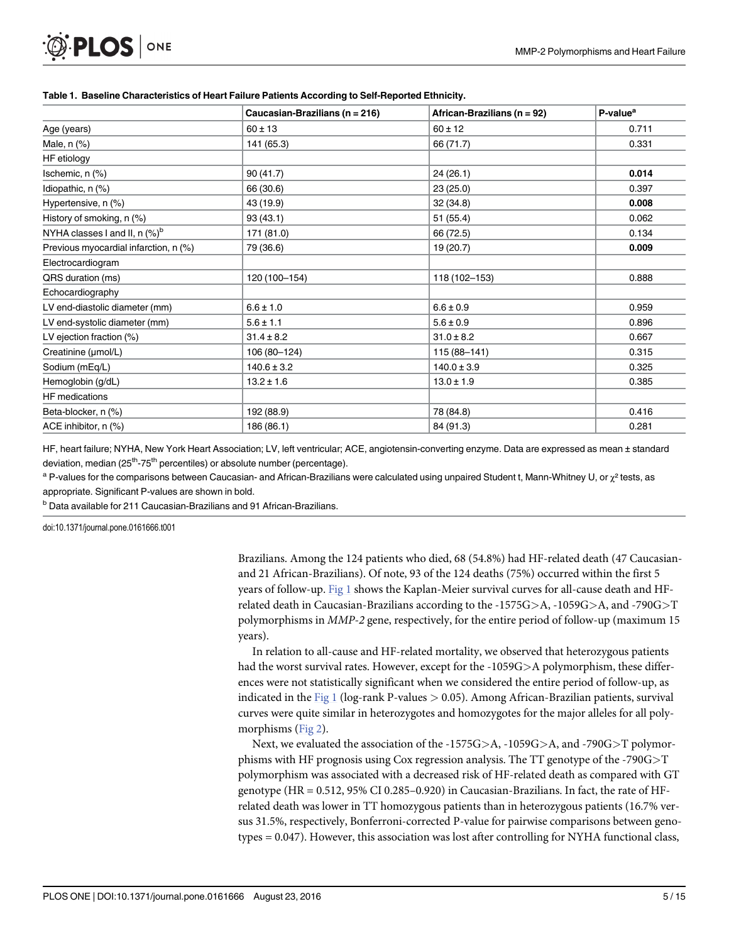|                                             | Caucasian-Brazilians (n = 216) | African-Brazilians (n = 92) | P-value <sup>a</sup> |
|---------------------------------------------|--------------------------------|-----------------------------|----------------------|
| Age (years)                                 | $60 \pm 13$                    | $60 \pm 12$                 | 0.711                |
| Male, $n$ $%$                               | 141 (65.3)                     | 66 (71.7)                   | 0.331                |
| HF etiology                                 |                                |                             |                      |
| Ischemic, $n$ $(\%)$                        | 90 (41.7)                      | 24 (26.1)                   | 0.014                |
| Idiopathic, n (%)                           | 66 (30.6)                      | 23(25.0)                    | 0.397                |
| Hypertensive, n (%)                         | 43 (19.9)                      | 32(34.8)                    | 0.008                |
| History of smoking, n (%)                   | 93(43.1)                       | 51 (55.4)                   | 0.062                |
| NYHA classes I and II, $n$ (%) <sup>b</sup> | 171 (81.0)                     | 66 (72.5)                   | 0.134                |
| Previous myocardial infarction, n (%)       | 79 (36.6)                      | 19 (20.7)                   | 0.009                |
| Electrocardiogram                           |                                |                             |                      |
| QRS duration (ms)                           | 120 (100-154)                  | 118 (102-153)               | 0.888                |
| Echocardiography                            |                                |                             |                      |
| LV end-diastolic diameter (mm)              | $6.6 \pm 1.0$                  | $6.6 \pm 0.9$               | 0.959                |
| LV end-systolic diameter (mm)               | $5.6 \pm 1.1$                  | $5.6 \pm 0.9$               | 0.896                |
| LV ejection fraction (%)                    | $31.4 \pm 8.2$                 | $31.0 \pm 8.2$              | 0.667                |
| Creatinine (µmol/L)                         | 106 (80-124)                   | $115(88 - 141)$             | 0.315                |
| Sodium (mEq/L)                              | $140.6 \pm 3.2$                | $140.0 \pm 3.9$             | 0.325                |
| Hemoglobin (g/dL)                           | $13.2 \pm 1.6$                 | $13.0 \pm 1.9$              | 0.385                |
| <b>HF</b> medications                       |                                |                             |                      |
| Beta-blocker, n (%)                         | 192 (88.9)                     | 78 (84.8)                   | 0.416                |
| ACE inhibitor, n (%)                        | 186 (86.1)                     | 84 (91.3)                   | 0.281                |

#### <span id="page-4-0"></span>[Table 1.](#page-3-0) Baseline Characteristics of Heart Failure Patients According to Self-Reported Ethnicity.

HF, heart failure; NYHA, New York Heart Association; LV, left ventricular; ACE, angiotensin-converting enzyme. Data are expressed as mean ± standard deviation, median ( $25<sup>th</sup> - 75<sup>th</sup>$  percentiles) or absolute number (percentage).

 $a$  P-values for the comparisons between Caucasian- and African-Brazilians were calculated using unpaired Student t, Mann-Whitney U, or  $\chi^2$  tests, as appropriate. Significant P-values are shown in bold.

<sup>b</sup> Data available for 211 Caucasian-Brazilians and 91 African-Brazilians.

doi:10.1371/journal.pone.0161666.t001

Brazilians. Among the 124 patients who died, 68 (54.8%) had HF-related death (47 Caucasianand 21 African-Brazilians). Of note, 93 of the 124 deaths (75%) occurred within the first 5 years of follow-up.  $Fig 1$  shows the Kaplan-Meier survival curves for all-cause death and HFrelated death in Caucasian-Brazilians according to the -1575G>A, -1059G>A, and -790G>T polymorphisms in MMP-2 gene, respectively, for the entire period of follow-up (maximum 15 years).

In relation to all-cause and HF-related mortality, we observed that heterozygous patients had the worst survival rates. However, except for the -1059G>A polymorphism, these differences were not statistically significant when we considered the entire period of follow-up, as indicated in the [Fig 1](#page-6-0) (log-rank P-values  $> 0.05$ ). Among African-Brazilian patients, survival curves were quite similar in heterozygotes and homozygotes for the major alleles for all poly-morphisms [\(Fig 2](#page-6-0)).

Next, we evaluated the association of the -1575G>A, -1059G>A, and -790G>T polymorphisms with HF prognosis using Cox regression analysis. The TT genotype of the -790G>T polymorphism was associated with a decreased risk of HF-related death as compared with GT genotype (HR = 0.512, 95% CI 0.285–0.920) in Caucasian-Brazilians. In fact, the rate of HFrelated death was lower in TT homozygous patients than in heterozygous patients (16.7% versus 31.5%, respectively, Bonferroni-corrected P-value for pairwise comparisons between genotypes = 0.047). However, this association was lost after controlling for NYHA functional class,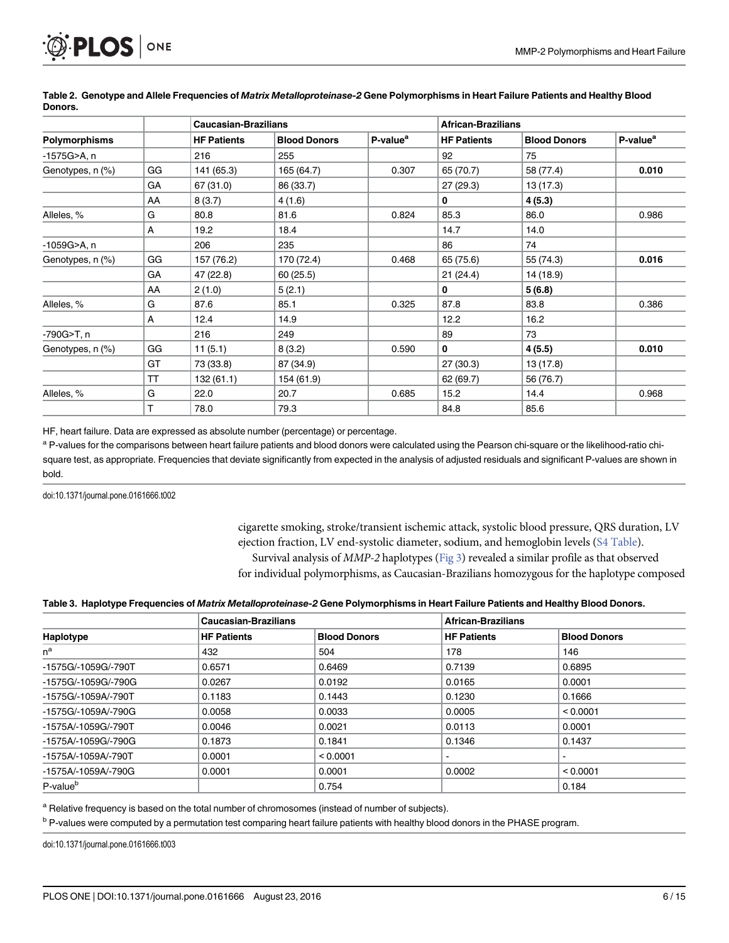<span id="page-5-0"></span>

|                      |    | <b>Caucasian-Brazilians</b> |                     |                      | <b>African-Brazilians</b> |                     |                      |
|----------------------|----|-----------------------------|---------------------|----------------------|---------------------------|---------------------|----------------------|
| <b>Polymorphisms</b> |    | <b>HF Patients</b>          | <b>Blood Donors</b> | P-value <sup>a</sup> | <b>HF Patients</b>        | <b>Blood Donors</b> | P-value <sup>a</sup> |
| -1575G>A, n          |    | 216                         | 255                 |                      | 92                        | 75                  |                      |
| Genotypes, n (%)     | GG | 141 (65.3)                  | 165 (64.7)          | 0.307                | 65 (70.7)                 | 58 (77.4)           | 0.010                |
|                      | GA | 67 (31.0)                   | 86 (33.7)           |                      | 27(29.3)                  | 13(17.3)            |                      |
|                      | AA | 8(3.7)                      | 4(1.6)              |                      | 0                         | 4(5.3)              |                      |
| Alleles, %           | G  | 80.8                        | 81.6                | 0.824                | 85.3                      | 86.0                | 0.986                |
|                      | A  | 19.2                        | 18.4                |                      | 14.7                      | 14.0                |                      |
| -1059G>A, n          |    | 206                         | 235                 |                      | 86                        | 74                  |                      |
| Genotypes, n (%)     | GG | 157 (76.2)                  | 170 (72.4)          | 0.468                | 65 (75.6)                 | 55 (74.3)           | 0.016                |
|                      | GA | 47 (22.8)                   | 60(25.5)            |                      | 21(24.4)                  | 14 (18.9)           |                      |
|                      | AA | 2(1.0)                      | 5(2.1)              |                      | 0                         | 5(6.8)              |                      |
| Alleles, %           | G  | 87.6                        | 85.1                | 0.325                | 87.8                      | 83.8                | 0.386                |
|                      | A  | 12.4                        | 14.9                |                      | 12.2                      | 16.2                |                      |
| -790G>T, n           |    | 216                         | 249                 |                      | 89                        | 73                  |                      |
| Genotypes, n (%)     | GG | 11(5.1)                     | 8(3.2)              | 0.590                | 0                         | 4(5.5)              | 0.010                |
|                      | GT | 73 (33.8)                   | 87 (34.9)           |                      | 27(30.3)                  | 13 (17.8)           |                      |
|                      | TT | 132 (61.1)                  | 154 (61.9)          |                      | 62 (69.7)                 | 56 (76.7)           |                      |
| Alleles, %           | G  | 22.0                        | 20.7                | 0.685                | 15.2                      | 14.4                | 0.968                |
|                      | т  | 78.0                        | 79.3                |                      | 84.8                      | 85.6                |                      |

[Table 2.](#page-3-0) Genotype and Allele Frequencies of Matrix Metalloproteinase-2 Gene Polymorphisms in Heart Failure Patients and Healthy Blood Donors.

HF, heart failure. Data are expressed as absolute number (percentage) or percentage.

a P-values for the comparisons between heart failure patients and blood donors were calculated using the Pearson chi-square or the likelihood-ratio chisquare test, as appropriate. Frequencies that deviate significantly from expected in the analysis of adjusted residuals and significant P-values are shown in bold.

doi:10.1371/journal.pone.0161666.t002

cigarette smoking, stroke/transient ischemic attack, systolic blood pressure, QRS duration, LV ejection fraction, LV end-systolic diameter, sodium, and hemoglobin levels [\(S4 Table](#page-11-0)). Survival analysis of MMP-2 haplotypes ([Fig 3\)](#page-7-0) revealed a similar profile as that observed for individual polymorphisms, as Caucasian-Brazilians homozygous for the haplotype composed

#### [Table 3.](#page-3-0) Haplotype Frequencies of Matrix Metalloproteinase-2 Gene Polymorphisms in Heart Failure Patients and Healthy Blood Donors.

|                      | <b>Caucasian-Brazilians</b> |                     | <b>African-Brazilians</b> |                     |  |
|----------------------|-----------------------------|---------------------|---------------------------|---------------------|--|
| Haplotype            | <b>HF Patients</b>          | <b>Blood Donors</b> | <b>HF Patients</b>        | <b>Blood Donors</b> |  |
| $n^a$                | 432                         | 504                 | 178                       | 146                 |  |
| -1575G/-1059G/-790T  | 0.6571                      | 0.6469              | 0.7139                    | 0.6895              |  |
| -1575G/-1059G/-790G  | 0.0267                      | 0.0192              | 0.0165                    | 0.0001              |  |
| -1575G/-1059A/-790T  | 0.1183                      | 0.1443              | 0.1230                    | 0.1666              |  |
| -1575G/-1059A/-790G  | 0.0058                      | 0.0033              | 0.0005                    | < 0.0001            |  |
| -1575A/-1059G/-790T  | 0.0046                      | 0.0021              | 0.0113                    | 0.0001              |  |
| -1575A/-1059G/-790G  | 0.1873                      | 0.1841              | 0.1346                    | 0.1437              |  |
| -1575A/-1059A/-790T  | 0.0001                      | < 0.0001            | $\overline{\phantom{a}}$  |                     |  |
| -1575A/-1059A/-790G  | 0.0001                      | 0.0001              | 0.0002                    | < 0.0001            |  |
| P-value <sup>b</sup> |                             | 0.754               |                           | 0.184               |  |

a Relative frequency is based on the total number of chromosomes (instead of number of subjects).

<sup>b</sup> P-values were computed by a permutation test comparing heart failure patients with healthy blood donors in the PHASE program.

doi:10.1371/journal.pone.0161666.t003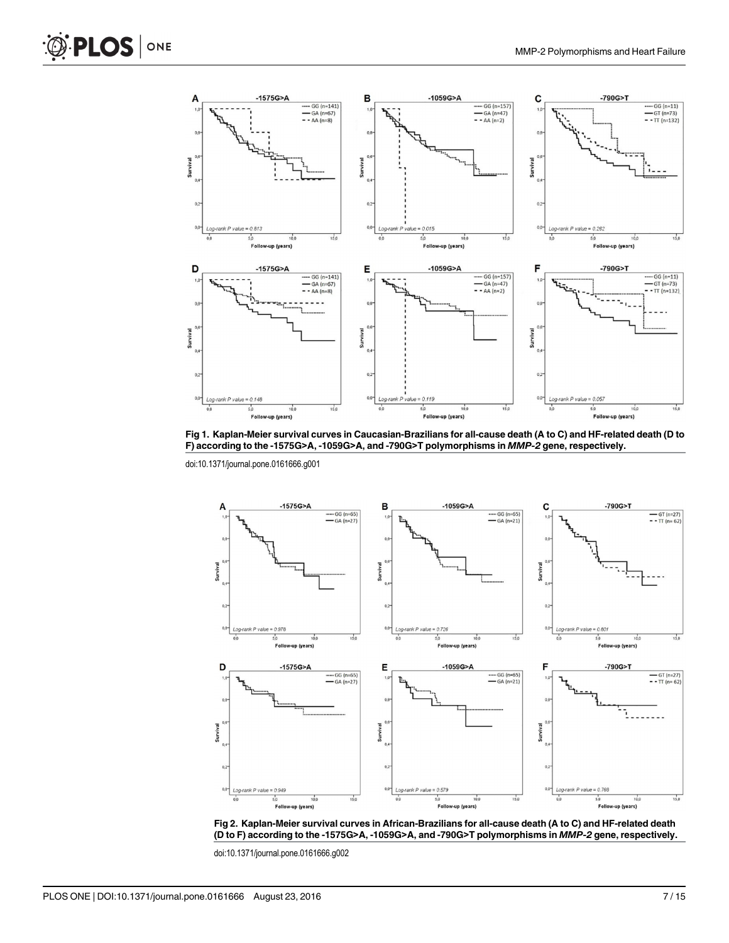<span id="page-6-0"></span>



[Fig 1. K](#page-4-0)aplan-Meier survival curves in Caucasian-Brazilians for all-cause death (A to C) and HF-related death (D to F) according to the -1575G>A, -1059G>A, and -790G>T polymorphisms in MMP-2 gene, respectively.

doi:10.1371/journal.pone.0161666.g001



[Fig 2. K](#page-4-0)aplan-Meier survival curves in African-Brazilians for all-cause death (A to C) and HF-related death (D to F) according to the -1575G>A, -1059G>A, and -790G>T polymorphisms in MMP-2 gene, respectively.

doi:10.1371/journal.pone.0161666.g002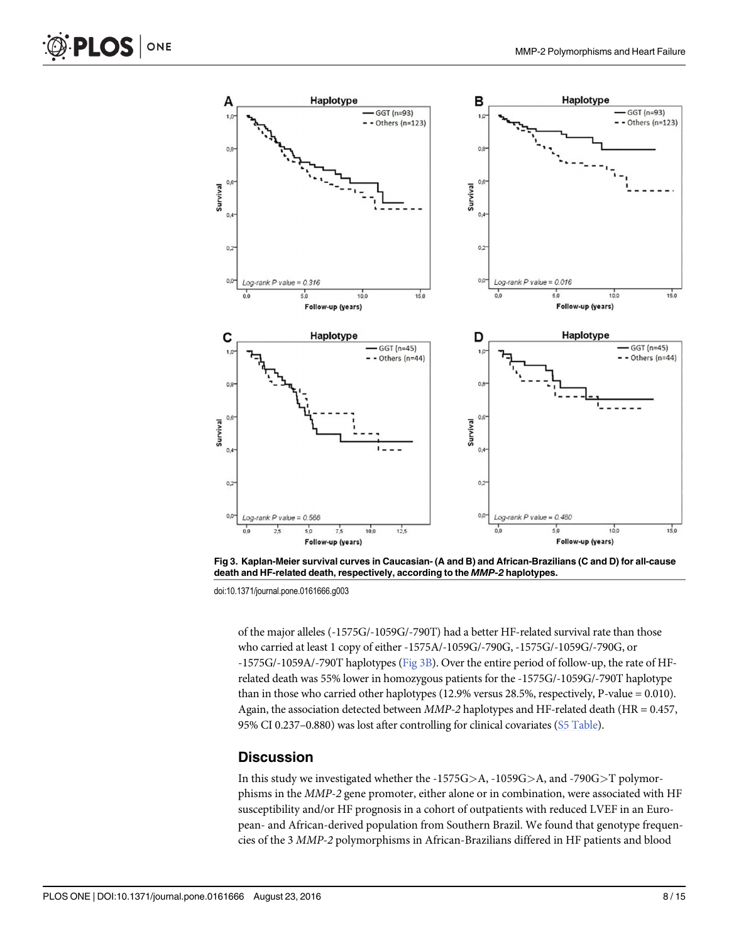<span id="page-7-0"></span>

[Fig 3. K](#page-5-0)aplan-Meier survival curves in Caucasian- (A and B) and African-Brazilians (C and D) for all-cause death and HF-related death, respectively, according to the MMP-2 haplotypes.

doi:10.1371/journal.pone.0161666.g003

of the major alleles (-1575G/-1059G/-790T) had a better HF-related survival rate than those who carried at least 1 copy of either -1575A/-1059G/-790G, -1575G/-1059G/-790G, or -1575G/-1059A/-790T haplotypes (Fig 3B). Over the entire period of follow-up, the rate of HFrelated death was 55% lower in homozygous patients for the -1575G/-1059G/-790T haplotype than in those who carried other haplotypes (12.9% versus 28.5%, respectively, P-value = 0.010). Again, the association detected between  $MMP-2$  haplotypes and HF-related death (HR = 0.457, 95% CI 0.237-0.880) was lost after controlling for clinical covariates ([S5 Table](#page-12-0)).

#### **Discussion**

In this study we investigated whether the -1575G>A, -1059G>A, and -790G>T polymorphisms in the MMP-2 gene promoter, either alone or in combination, were associated with HF susceptibility and/or HF prognosis in a cohort of outpatients with reduced LVEF in an European- and African-derived population from Southern Brazil. We found that genotype frequencies of the 3 MMP-2 polymorphisms in African-Brazilians differed in HF patients and blood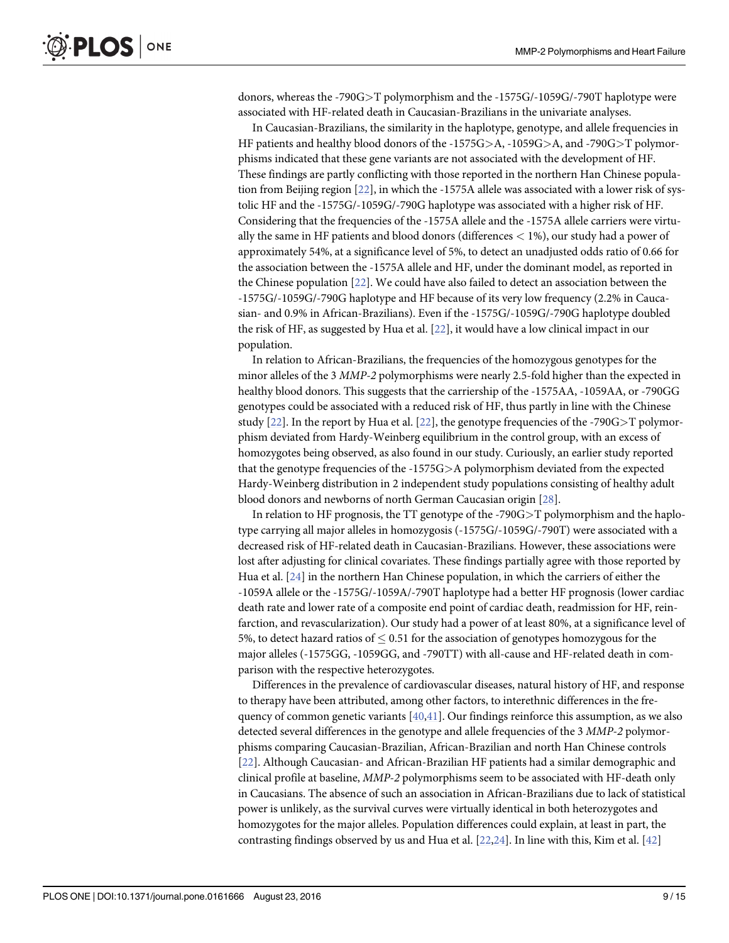<span id="page-8-0"></span>donors, whereas the -790G>T polymorphism and the -1575G/-1059G/-790T haplotype were associated with HF-related death in Caucasian-Brazilians in the univariate analyses.

In Caucasian-Brazilians, the similarity in the haplotype, genotype, and allele frequencies in HF patients and healthy blood donors of the -1575G>A, -1059G>A, and -790G>T polymorphisms indicated that these gene variants are not associated with the development of HF. These findings are partly conflicting with those reported in the northern Han Chinese population from Beijing region [[22\]](#page-13-0), in which the -1575A allele was associated with a lower risk of systolic HF and the -1575G/-1059G/-790G haplotype was associated with a higher risk of HF. Considering that the frequencies of the -1575A allele and the -1575A allele carriers were virtually the same in HF patients and blood donors (differences < 1%), our study had a power of approximately 54%, at a significance level of 5%, to detect an unadjusted odds ratio of 0.66 for the association between the -1575A allele and HF, under the dominant model, as reported in the Chinese population [\[22\]](#page-13-0). We could have also failed to detect an association between the -1575G/-1059G/-790G haplotype and HF because of its very low frequency (2.2% in Caucasian- and 0.9% in African-Brazilians). Even if the -1575G/-1059G/-790G haplotype doubled the risk of HF, as suggested by Hua et al. [\[22\]](#page-13-0), it would have a low clinical impact in our population.

In relation to African-Brazilians, the frequencies of the homozygous genotypes for the minor alleles of the 3 MMP-2 polymorphisms were nearly 2.5-fold higher than the expected in healthy blood donors. This suggests that the carriership of the -1575AA, -1059AA, or -790GG genotypes could be associated with a reduced risk of HF, thus partly in line with the Chinese study  $[22]$ . In the report by Hua et al.  $[22]$  $[22]$  $[22]$ , the genotype frequencies of the -790G $\geq$ T polymorphism deviated from Hardy-Weinberg equilibrium in the control group, with an excess of homozygotes being observed, as also found in our study. Curiously, an earlier study reported that the genotype frequencies of the -1575G>A polymorphism deviated from the expected Hardy-Weinberg distribution in 2 independent study populations consisting of healthy adult blood donors and newborns of north German Caucasian origin [[28](#page-14-0)].

In relation to HF prognosis, the TT genotype of the -790 $G>T$  polymorphism and the haplotype carrying all major alleles in homozygosis (-1575G/-1059G/-790T) were associated with a decreased risk of HF-related death in Caucasian-Brazilians. However, these associations were lost after adjusting for clinical covariates. These findings partially agree with those reported by Hua et al. [\[24](#page-13-0)] in the northern Han Chinese population, in which the carriers of either the -1059A allele or the -1575G/-1059A/-790T haplotype had a better HF prognosis (lower cardiac death rate and lower rate of a composite end point of cardiac death, readmission for HF, reinfarction, and revascularization). Our study had a power of at least 80%, at a significance level of 5%, to detect hazard ratios of  $\leq 0.51$  for the association of genotypes homozygous for the major alleles (-1575GG, -1059GG, and -790TT) with all-cause and HF-related death in comparison with the respective heterozygotes.

Differences in the prevalence of cardiovascular diseases, natural history of HF, and response to therapy have been attributed, among other factors, to interethnic differences in the frequency of common genetic variants [[40](#page-14-0),[41](#page-14-0)]. Our findings reinforce this assumption, as we also detected several differences in the genotype and allele frequencies of the 3 MMP-2 polymorphisms comparing Caucasian-Brazilian, African-Brazilian and north Han Chinese controls [\[22](#page-13-0)]. Although Caucasian- and African-Brazilian HF patients had a similar demographic and clinical profile at baseline, MMP-2 polymorphisms seem to be associated with HF-death only in Caucasians. The absence of such an association in African-Brazilians due to lack of statistical power is unlikely, as the survival curves were virtually identical in both heterozygotes and homozygotes for the major alleles. Population differences could explain, at least in part, the contrasting findings observed by us and Hua et al.  $[22,24]$  $[22,24]$ . In line with this, Kim et al.  $[42]$  $[42]$  $[42]$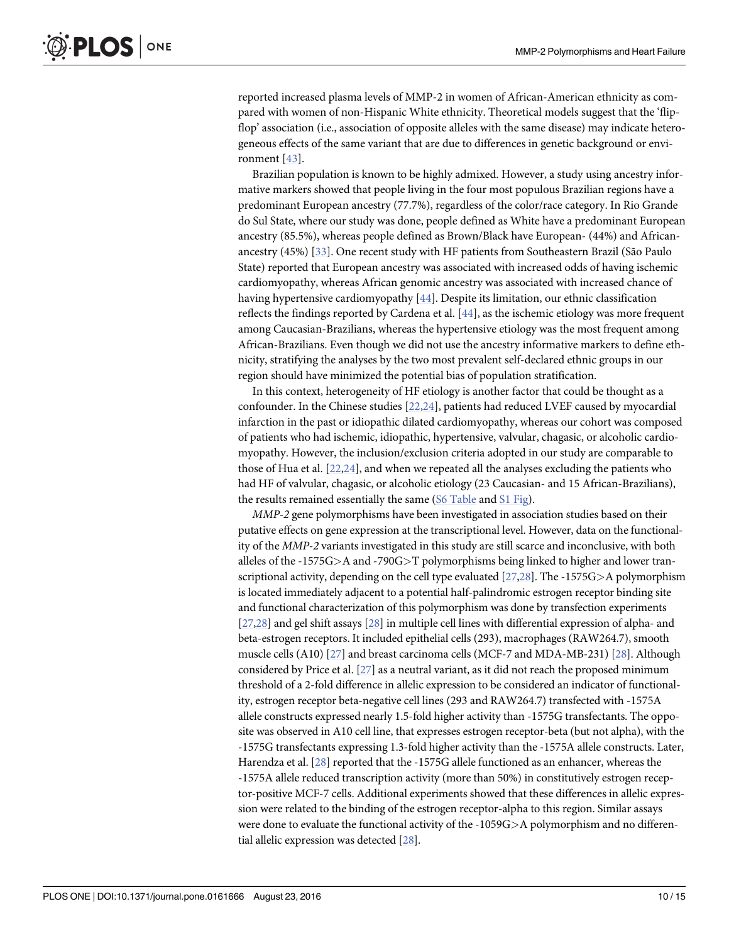<span id="page-9-0"></span>reported increased plasma levels of MMP-2 in women of African-American ethnicity as compared with women of non-Hispanic White ethnicity. Theoretical models suggest that the 'flipflop' association (i.e., association of opposite alleles with the same disease) may indicate heterogeneous effects of the same variant that are due to differences in genetic background or environment [\[43](#page-14-0)].

Brazilian population is known to be highly admixed. However, a study using ancestry informative markers showed that people living in the four most populous Brazilian regions have a predominant European ancestry (77.7%), regardless of the color/race category. In Rio Grande do Sul State, where our study was done, people defined as White have a predominant European ancestry (85.5%), whereas people defined as Brown/Black have European- (44%) and Africanancestry (45%) [[33](#page-14-0)]. One recent study with HF patients from Southeastern Brazil (São Paulo State) reported that European ancestry was associated with increased odds of having ischemic cardiomyopathy, whereas African genomic ancestry was associated with increased chance of having hypertensive cardiomyopathy [[44](#page-14-0)]. Despite its limitation, our ethnic classification reflects the findings reported by Cardena et al. [[44\]](#page-14-0), as the ischemic etiology was more frequent among Caucasian-Brazilians, whereas the hypertensive etiology was the most frequent among African-Brazilians. Even though we did not use the ancestry informative markers to define ethnicity, stratifying the analyses by the two most prevalent self-declared ethnic groups in our region should have minimized the potential bias of population stratification.

In this context, heterogeneity of HF etiology is another factor that could be thought as a confounder. In the Chinese studies [[22,24\]](#page-13-0), patients had reduced LVEF caused by myocardial infarction in the past or idiopathic dilated cardiomyopathy, whereas our cohort was composed of patients who had ischemic, idiopathic, hypertensive, valvular, chagasic, or alcoholic cardiomyopathy. However, the inclusion/exclusion criteria adopted in our study are comparable to those of Hua et al. [[22,24](#page-13-0)], and when we repeated all the analyses excluding the patients who had HF of valvular, chagasic, or alcoholic etiology (23 Caucasian- and 15 African-Brazilians), the results remained essentially the same [\(S6 Table](#page-12-0) and [S1 Fig\)](#page-11-0).

MMP-2 gene polymorphisms have been investigated in association studies based on their putative effects on gene expression at the transcriptional level. However, data on the functionality of the MMP-2 variants investigated in this study are still scarce and inconclusive, with both alleles of the -1575G>A and -790G>T polymorphisms being linked to higher and lower transcriptional activity, depending on the cell type evaluated [[27](#page-13-0)[,28\]](#page-14-0). The -1575G>A polymorphism is located immediately adjacent to a potential half-palindromic estrogen receptor binding site and functional characterization of this polymorphism was done by transfection experiments [\[27,](#page-13-0)[28\]](#page-14-0) and gel shift assays [[28](#page-14-0)] in multiple cell lines with differential expression of alpha- and beta-estrogen receptors. It included epithelial cells (293), macrophages (RAW264.7), smooth muscle cells (A10) [\[27\]](#page-13-0) and breast carcinoma cells (MCF-7 and MDA-MB-231) [\[28\]](#page-14-0). Although considered by Price et al. [[27](#page-13-0)] as a neutral variant, as it did not reach the proposed minimum threshold of a 2-fold difference in allelic expression to be considered an indicator of functionality, estrogen receptor beta-negative cell lines (293 and RAW264.7) transfected with -1575A allele constructs expressed nearly 1.5-fold higher activity than -1575G transfectants. The opposite was observed in A10 cell line, that expresses estrogen receptor-beta (but not alpha), with the -1575G transfectants expressing 1.3-fold higher activity than the -1575A allele constructs. Later, Harendza et al. [[28](#page-14-0)] reported that the -1575G allele functioned as an enhancer, whereas the -1575A allele reduced transcription activity (more than 50%) in constitutively estrogen receptor-positive MCF-7 cells. Additional experiments showed that these differences in allelic expression were related to the binding of the estrogen receptor-alpha to this region. Similar assays were done to evaluate the functional activity of the -1059G>A polymorphism and no differential allelic expression was detected [\[28\]](#page-14-0).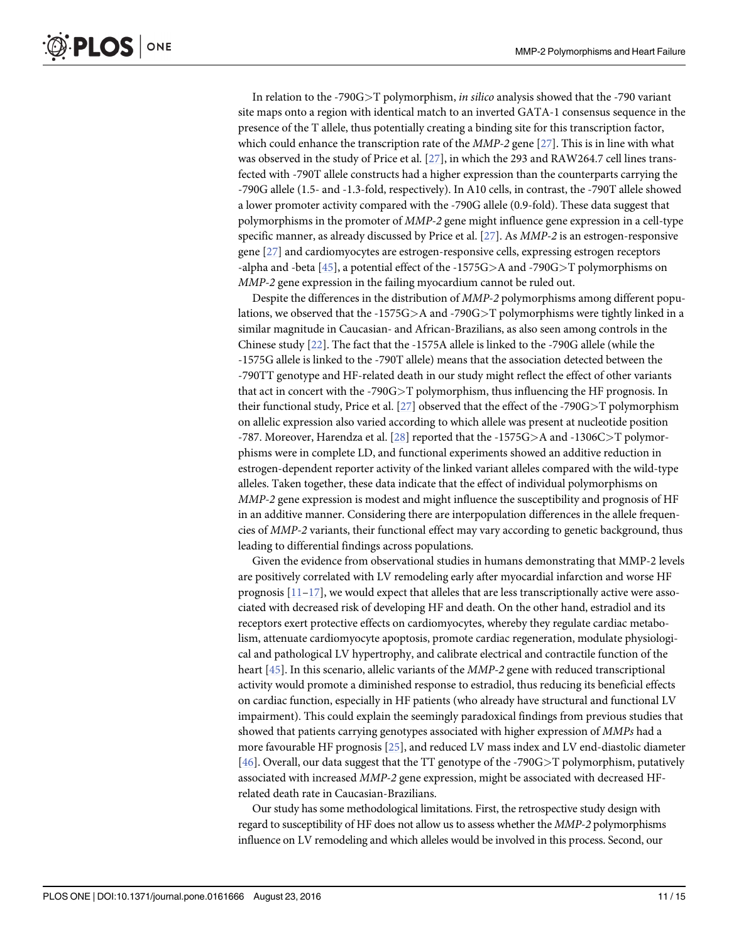<span id="page-10-0"></span>In relation to the -790G $\geq$ T polymorphism, *in silico* analysis showed that the -790 variant site maps onto a region with identical match to an inverted GATA-1 consensus sequence in the presence of the T allele, thus potentially creating a binding site for this transcription factor, which could enhance the transcription rate of the *MMP-2* gene [\[27\]](#page-13-0). This is in line with what was observed in the study of Price et al. [\[27\]](#page-13-0), in which the 293 and RAW264.7 cell lines transfected with -790T allele constructs had a higher expression than the counterparts carrying the -790G allele (1.5- and -1.3-fold, respectively). In A10 cells, in contrast, the -790T allele showed a lower promoter activity compared with the -790G allele (0.9-fold). These data suggest that polymorphisms in the promoter of MMP-2 gene might influence gene expression in a cell-type specific manner, as already discussed by Price et al. [[27](#page-13-0)]. As MMP-2 is an estrogen-responsive gene [[27\]](#page-13-0) and cardiomyocytes are estrogen-responsive cells, expressing estrogen receptors -alpha and -beta  $[45]$  $[45]$  $[45]$ , a potential effect of the -1575G>A and -790G>T polymorphisms on MMP-2 gene expression in the failing myocardium cannot be ruled out.

Despite the differences in the distribution of MMP-2 polymorphisms among different populations, we observed that the -1575G $>$ A and -790G $>$ T polymorphisms were tightly linked in a similar magnitude in Caucasian- and African-Brazilians, as also seen among controls in the Chinese study [\[22](#page-13-0)]. The fact that the -1575A allele is linked to the -790G allele (while the -1575G allele is linked to the -790T allele) means that the association detected between the -790TT genotype and HF-related death in our study might reflect the effect of other variants that act in concert with the -790G>T polymorphism, thus influencing the HF prognosis. In their functional study, Price et al. [\[27](#page-13-0)] observed that the effect of the -790G>T polymorphism on allelic expression also varied according to which allele was present at nucleotide position -787. Moreover, Harendza et al. [\[28\]](#page-14-0) reported that the -1575G>A and -1306C>T polymorphisms were in complete LD, and functional experiments showed an additive reduction in estrogen-dependent reporter activity of the linked variant alleles compared with the wild-type alleles. Taken together, these data indicate that the effect of individual polymorphisms on MMP-2 gene expression is modest and might influence the susceptibility and prognosis of HF in an additive manner. Considering there are interpopulation differences in the allele frequencies of MMP-2 variants, their functional effect may vary according to genetic background, thus leading to differential findings across populations.

Given the evidence from observational studies in humans demonstrating that MMP-2 levels are positively correlated with LV remodeling early after myocardial infarction and worse HF prognosis  $[11-17]$  $[11-17]$  $[11-17]$ , we would expect that alleles that are less transcriptionally active were associated with decreased risk of developing HF and death. On the other hand, estradiol and its receptors exert protective effects on cardiomyocytes, whereby they regulate cardiac metabolism, attenuate cardiomyocyte apoptosis, promote cardiac regeneration, modulate physiological and pathological LV hypertrophy, and calibrate electrical and contractile function of the heart [\[45\]](#page-14-0). In this scenario, allelic variants of the *MMP-2* gene with reduced transcriptional activity would promote a diminished response to estradiol, thus reducing its beneficial effects on cardiac function, especially in HF patients (who already have structural and functional LV impairment). This could explain the seemingly paradoxical findings from previous studies that showed that patients carrying genotypes associated with higher expression of MMPs had a more favourable HF prognosis [\[25\]](#page-13-0), and reduced LV mass index and LV end-diastolic diameter [\[46](#page-14-0)]. Overall, our data suggest that the TT genotype of the -790G>T polymorphism, putatively associated with increased MMP-2 gene expression, might be associated with decreased HFrelated death rate in Caucasian-Brazilians.

Our study has some methodological limitations. First, the retrospective study design with regard to susceptibility of HF does not allow us to assess whether the MMP-2 polymorphisms influence on LV remodeling and which alleles would be involved in this process. Second, our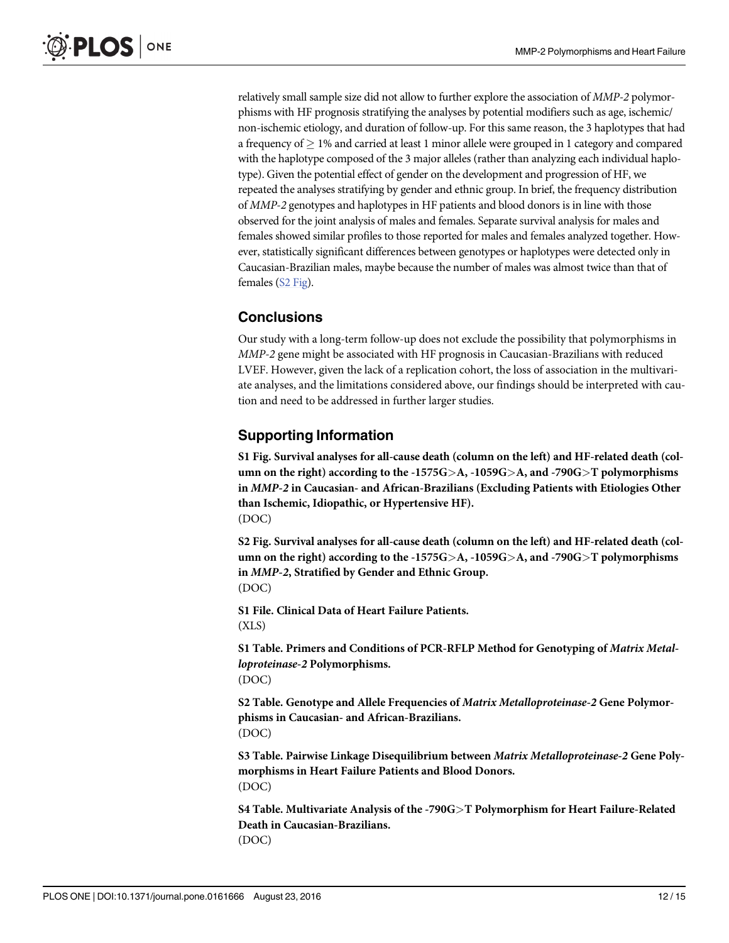<span id="page-11-0"></span>relatively small sample size did not allow to further explore the association of MMP-2 polymorphisms with HF prognosis stratifying the analyses by potential modifiers such as age, ischemic/ non-ischemic etiology, and duration of follow-up. For this same reason, the 3 haplotypes that had a frequency of  $\geq 1\%$  and carried at least 1 minor allele were grouped in 1 category and compared with the haplotype composed of the 3 major alleles (rather than analyzing each individual haplotype). Given the potential effect of gender on the development and progression of HF, we repeated the analyses stratifying by gender and ethnic group. In brief, the frequency distribution of MMP-2 genotypes and haplotypes in HF patients and blood donors is in line with those observed for the joint analysis of males and females. Separate survival analysis for males and females showed similar profiles to those reported for males and females analyzed together. However, statistically significant differences between genotypes or haplotypes were detected only in Caucasian-Brazilian males, maybe because the number of males was almost twice than that of females (S2 Fig).

# **Conclusions**

Our study with a long-term follow-up does not exclude the possibility that polymorphisms in MMP-2 gene might be associated with HF prognosis in Caucasian-Brazilians with reduced LVEF. However, given the lack of a replication cohort, the loss of association in the multivariate analyses, and the limitations considered above, our findings should be interpreted with caution and need to be addressed in further larger studies.

# Supporting Information

[S1 Fig.](http://www.plosone.org/article/fetchSingleRepresentation.action?uri=info:doi/10.1371/journal.pone.0161666.s001) Survival analyses for all-cause death (column on the left) and HF-related death (column on the right) according to the -1575G $\geq$ A, -1059G $\geq$ A, and -790G $\geq$ T polymorphisms in MMP-2 in Caucasian- and African-Brazilians (Excluding Patients with Etiologies Other than Ischemic, Idiopathic, or Hypertensive HF). (DOC)

[S2 Fig.](http://www.plosone.org/article/fetchSingleRepresentation.action?uri=info:doi/10.1371/journal.pone.0161666.s002) Survival analyses for all-cause death (column on the left) and HF-related death (column on the right) according to the -1575G $>A$ , -1059G $>A$ , and -790G $\ge$ T polymorphisms in MMP-2, Stratified by Gender and Ethnic Group. (DOC)

[S1 File.](http://www.plosone.org/article/fetchSingleRepresentation.action?uri=info:doi/10.1371/journal.pone.0161666.s003) Clinical Data of Heart Failure Patients.  $(XLS)$ 

[S1 Table](http://www.plosone.org/article/fetchSingleRepresentation.action?uri=info:doi/10.1371/journal.pone.0161666.s004). Primers and Conditions of PCR-RFLP Method for Genotyping of Matrix Metalloproteinase-2 Polymorphisms. (DOC)

[S2 Table](http://www.plosone.org/article/fetchSingleRepresentation.action?uri=info:doi/10.1371/journal.pone.0161666.s005). Genotype and Allele Frequencies of Matrix Metalloproteinase-2 Gene Polymorphisms in Caucasian- and African-Brazilians. (DOC)

[S3 Table](http://www.plosone.org/article/fetchSingleRepresentation.action?uri=info:doi/10.1371/journal.pone.0161666.s006). Pairwise Linkage Disequilibrium between Matrix Metalloproteinase-2 Gene Polymorphisms in Heart Failure Patients and Blood Donors. (DOC)

[S4 Table](http://www.plosone.org/article/fetchSingleRepresentation.action?uri=info:doi/10.1371/journal.pone.0161666.s007). Multivariate Analysis of the -790G>T Polymorphism for Heart Failure-Related Death in Caucasian-Brazilians. (DOC)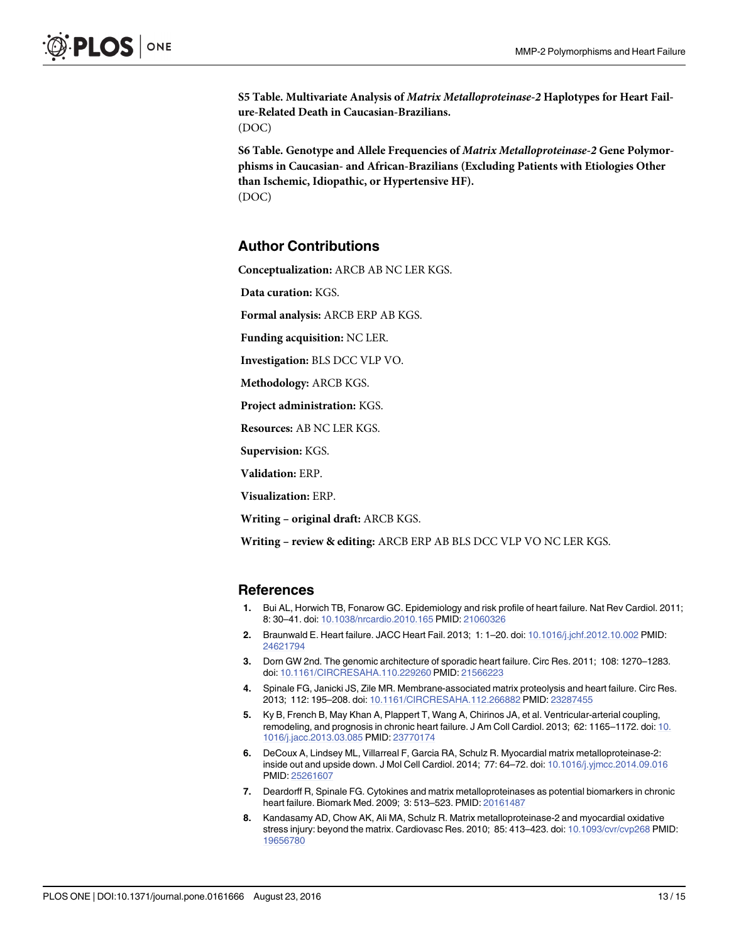<span id="page-12-0"></span>[S5 Table](http://www.plosone.org/article/fetchSingleRepresentation.action?uri=info:doi/10.1371/journal.pone.0161666.s008). Multivariate Analysis of Matrix Metalloproteinase-2 Haplotypes for Heart Failure-Related Death in Caucasian-Brazilians. (DOC)

[S6 Table](http://www.plosone.org/article/fetchSingleRepresentation.action?uri=info:doi/10.1371/journal.pone.0161666.s009). Genotype and Allele Frequencies of Matrix Metalloproteinase-2 Gene Polymorphisms in Caucasian- and African-Brazilians (Excluding Patients with Etiologies Other than Ischemic, Idiopathic, or Hypertensive HF). (DOC)

## Author Contributions

Conceptualization: ARCB AB NC LER KGS.

Data curation: KGS.

Formal analysis: ARCB ERP AB KGS.

Funding acquisition: NC LER.

Investigation: BLS DCC VLP VO.

Methodology: ARCB KGS.

Project administration: KGS.

Resources: AB NC LER KGS.

Supervision: KGS.

Validation: ERP.

Visualization: ERP.

Writing – original draft: ARCB KGS.

Writing – review & editing: ARCB ERP AB BLS DCC VLP VO NC LER KGS.

#### **References**

- [1.](#page-1-0) Bui AL, Horwich TB, Fonarow GC. Epidemiology and risk profile of heart failure. Nat Rev Cardiol. 2011; 8: 30–41. doi: [10.1038/nrcardio.2010.165](http://dx.doi.org/10.1038/nrcardio.2010.165) PMID: [21060326](http://www.ncbi.nlm.nih.gov/pubmed/21060326)
- [2.](#page-1-0) Braunwald E. Heart failure. JACC Heart Fail. 2013; 1: 1–20. doi: [10.1016/j.jchf.2012.10.002](http://dx.doi.org/10.1016/j.jchf.2012.10.002) PMID: [24621794](http://www.ncbi.nlm.nih.gov/pubmed/24621794)
- [3.](#page-1-0) Dorn GW 2nd. The genomic architecture of sporadic heart failure. Circ Res. 2011; 108: 1270–1283. doi: [10.1161/CIRCRESAHA.110.229260](http://dx.doi.org/10.1161/CIRCRESAHA.110.229260) PMID: [21566223](http://www.ncbi.nlm.nih.gov/pubmed/21566223)
- [4.](#page-1-0) Spinale FG, Janicki JS, Zile MR. Membrane-associated matrix proteolysis and heart failure. Circ Res. 2013; 112: 195–208. doi: [10.1161/CIRCRESAHA.112.266882](http://dx.doi.org/10.1161/CIRCRESAHA.112.266882) PMID: [23287455](http://www.ncbi.nlm.nih.gov/pubmed/23287455)
- [5.](#page-1-0) Ky B, French B, May Khan A, Plappert T, Wang A, Chirinos JA, et al. Ventricular-arterial coupling, remodeling, and prognosis in chronic heart failure. J Am Coll Cardiol. 2013; 62: 1165–1172. doi: [10.](http://dx.doi.org/10.1016/j.jacc.2013.03.085) [1016/j.jacc.2013.03.085](http://dx.doi.org/10.1016/j.jacc.2013.03.085) PMID: [23770174](http://www.ncbi.nlm.nih.gov/pubmed/23770174)
- [6.](#page-1-0) DeCoux A, Lindsey ML, Villarreal F, Garcia RA, Schulz R. Myocardial matrix metalloproteinase-2: inside out and upside down. J Mol Cell Cardiol. 2014; 77: 64–72. doi: [10.1016/j.yjmcc.2014.09.016](http://dx.doi.org/10.1016/j.yjmcc.2014.09.016) PMID: [25261607](http://www.ncbi.nlm.nih.gov/pubmed/25261607)
- [7.](#page-1-0) Deardorff R, Spinale FG. Cytokines and matrix metalloproteinases as potential biomarkers in chronic heart failure. Biomark Med. 2009; 3: 513–523. PMID: [20161487](http://www.ncbi.nlm.nih.gov/pubmed/20161487)
- [8.](#page-1-0) Kandasamy AD, Chow AK, Ali MA, Schulz R. Matrix metalloproteinase-2 and myocardial oxidative stress injury: beyond the matrix. Cardiovasc Res. 2010; 85: 413–423. doi: [10.1093/cvr/cvp268](http://dx.doi.org/10.1093/cvr/cvp268) PMID: [19656780](http://www.ncbi.nlm.nih.gov/pubmed/19656780)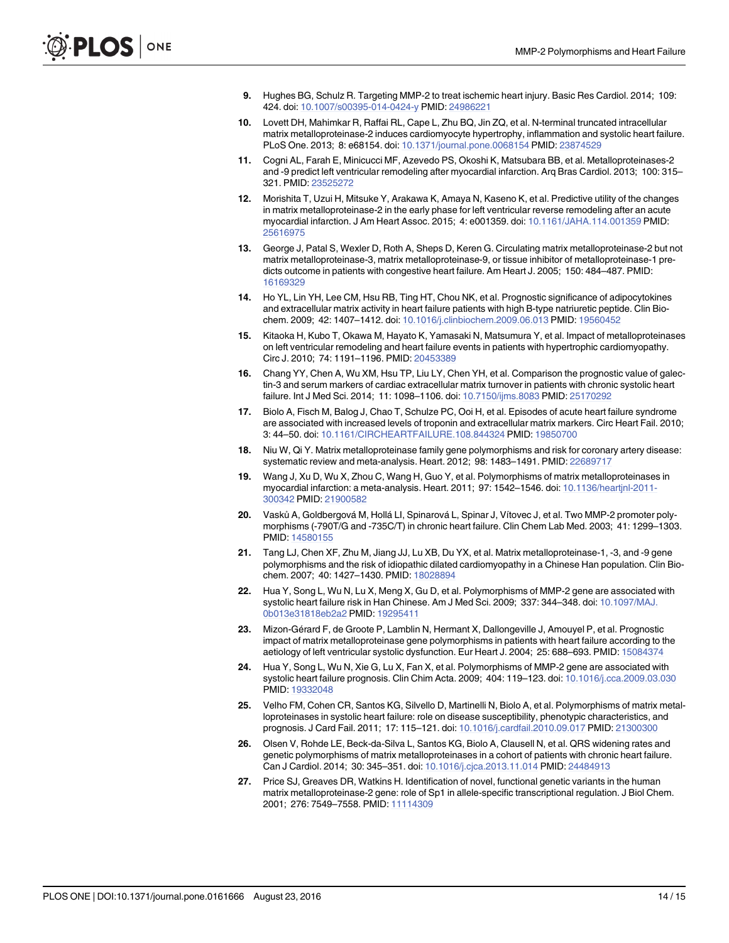- <span id="page-13-0"></span>9. Hughes BG, Schulz R. Targeting MMP-2 to treat ischemic heart injury. Basic Res Cardiol. 2014; 109: 424. doi: [10.1007/s00395-014-0424-y](http://dx.doi.org/10.1007/s00395-014-0424-y) PMID: [24986221](http://www.ncbi.nlm.nih.gov/pubmed/24986221)
- [10.](#page-1-0) Lovett DH, Mahimkar R, Raffai RL, Cape L, Zhu BQ, Jin ZQ, et al. N-terminal truncated intracellular matrix metalloproteinase-2 induces cardiomyocyte hypertrophy, inflammation and systolic heart failure. PLoS One. 2013; 8: e68154. doi: [10.1371/journal.pone.0068154](http://dx.doi.org/10.1371/journal.pone.0068154) PMID: [23874529](http://www.ncbi.nlm.nih.gov/pubmed/23874529)
- [11.](#page-1-0) Cogni AL, Farah E, Minicucci MF, Azevedo PS, Okoshi K, Matsubara BB, et al. Metalloproteinases-2 and -9 predict left ventricular remodeling after myocardial infarction. Arq Bras Cardiol. 2013; 100: 315– 321. PMID: [23525272](http://www.ncbi.nlm.nih.gov/pubmed/23525272)
- [12.](#page-1-0) Morishita T, Uzui H, Mitsuke Y, Arakawa K, Amaya N, Kaseno K, et al. Predictive utility of the changes in matrix metalloproteinase-2 in the early phase for left ventricular reverse remodeling after an acute myocardial infarction. J Am Heart Assoc. 2015; 4: e001359. doi: [10.1161/JAHA.114.001359](http://dx.doi.org/10.1161/JAHA.114.001359) PMID: [25616975](http://www.ncbi.nlm.nih.gov/pubmed/25616975)
- [13.](#page-1-0) George J, Patal S, Wexler D, Roth A, Sheps D, Keren G. Circulating matrix metalloproteinase-2 but not matrix metalloproteinase-3, matrix metalloproteinase-9, or tissue inhibitor of metalloproteinase-1 predicts outcome in patients with congestive heart failure. Am Heart J. 2005; 150: 484–487. PMID: [16169329](http://www.ncbi.nlm.nih.gov/pubmed/16169329)
- 14. Ho YL, Lin YH, Lee CM, Hsu RB, Ting HT, Chou NK, et al. Prognostic significance of adipocytokines and extracellular matrix activity in heart failure patients with high B-type natriuretic peptide. Clin Biochem. 2009; 42: 1407–1412. doi: [10.1016/j.clinbiochem.2009.06.013](http://dx.doi.org/10.1016/j.clinbiochem.2009.06.013) PMID: [19560452](http://www.ncbi.nlm.nih.gov/pubmed/19560452)
- 15. Kitaoka H, Kubo T, Okawa M, Hayato K, Yamasaki N, Matsumura Y, et al. Impact of metalloproteinases on left ventricular remodeling and heart failure events in patients with hypertrophic cardiomyopathy. Circ J. 2010; 74: 1191–1196. PMID: [20453389](http://www.ncbi.nlm.nih.gov/pubmed/20453389)
- [16.](#page-1-0) Chang YY, Chen A, Wu XM, Hsu TP, Liu LY, Chen YH, et al. Comparison the prognostic value of galectin-3 and serum markers of cardiac extracellular matrix turnover in patients with chronic systolic heart failure. Int J Med Sci. 2014; 11: 1098–1106. doi: [10.7150/ijms.8083](http://dx.doi.org/10.7150/ijms.8083) PMID: [25170292](http://www.ncbi.nlm.nih.gov/pubmed/25170292)
- [17.](#page-1-0) Biolo A, Fisch M, Balog J, Chao T, Schulze PC, Ooi H, et al. Episodes of acute heart failure syndrome are associated with increased levels of troponin and extracellular matrix markers. Circ Heart Fail. 2010; 3: 44–50. doi: [10.1161/CIRCHEARTFAILURE.108.844324](http://dx.doi.org/10.1161/CIRCHEARTFAILURE.108.844324) PMID: [19850700](http://www.ncbi.nlm.nih.gov/pubmed/19850700)
- [18.](#page-1-0) Niu W, Qi Y. Matrix metalloproteinase family gene polymorphisms and risk for coronary artery disease: systematic review and meta-analysis. Heart. 2012; 98: 1483–1491. PMID: [22689717](http://www.ncbi.nlm.nih.gov/pubmed/22689717)
- [19.](#page-1-0) Wang J, Xu D, Wu X, Zhou C, Wang H, Guo Y, et al. Polymorphisms of matrix metalloproteinases in myocardial infarction: a meta-analysis. Heart. 2011; 97: 1542–1546. doi: [10.1136/heartjnl-2011-](http://dx.doi.org/10.1136/heartjnl-2011-300342) [300342](http://dx.doi.org/10.1136/heartjnl-2011-300342) PMID: [21900582](http://www.ncbi.nlm.nih.gov/pubmed/21900582)
- [20.](#page-1-0) Vasků A, Goldbergová M, Hollá LI, Spinarová L, Spinar J, Vítovec J, et al. Two MMP-2 promoter polymorphisms (-790T/G and -735C/T) in chronic heart failure. Clin Chem Lab Med. 2003; 41: 1299–1303. PMID: [14580155](http://www.ncbi.nlm.nih.gov/pubmed/14580155)
- 21. Tang LJ, Chen XF, Zhu M, Jiang JJ, Lu XB, Du YX, et al. Matrix metalloproteinase-1, -3, and -9 gene polymorphisms and the risk of idiopathic dilated cardiomyopathy in a Chinese Han population. Clin Biochem. 2007; 40: 1427–1430. PMID: [18028894](http://www.ncbi.nlm.nih.gov/pubmed/18028894)
- [22.](#page-1-0) Hua Y, Song L, Wu N, Lu X, Meng X, Gu D, et al. Polymorphisms of MMP-2 gene are associated with systolic heart failure risk in Han Chinese. Am J Med Sci. 2009; 337: 344–348. doi: [10.1097/MAJ.](http://dx.doi.org/10.1097/MAJ.0b013e31818eb2a2) [0b013e31818eb2a2](http://dx.doi.org/10.1097/MAJ.0b013e31818eb2a2) PMID: [19295411](http://www.ncbi.nlm.nih.gov/pubmed/19295411)
- [23.](#page-1-0) Mizon-Gérard F, de Groote P, Lamblin N, Hermant X, Dallongeville J, Amouyel P, et al. Prognostic impact of matrix metalloproteinase gene polymorphisms in patients with heart failure according to the aetiology of left ventricular systolic dysfunction. Eur Heart J. 2004; 25: 688–693. PMID: [15084374](http://www.ncbi.nlm.nih.gov/pubmed/15084374)
- [24.](#page-1-0) Hua Y, Song L, Wu N, Xie G, Lu X, Fan X, et al. Polymorphisms of MMP-2 gene are associated with systolic heart failure prognosis. Clin Chim Acta. 2009; 404: 119–123. doi: [10.1016/j.cca.2009.03.030](http://dx.doi.org/10.1016/j.cca.2009.03.030) PMID: [19332048](http://www.ncbi.nlm.nih.gov/pubmed/19332048)
- [25.](#page-1-0) Velho FM, Cohen CR, Santos KG, Silvello D, Martinelli N, Biolo A, et al. Polymorphisms of matrix metalloproteinases in systolic heart failure: role on disease susceptibility, phenotypic characteristics, and prognosis. J Card Fail. 2011; 17: 115–121. doi: [10.1016/j.cardfail.2010.09.017](http://dx.doi.org/10.1016/j.cardfail.2010.09.017) PMID: [21300300](http://www.ncbi.nlm.nih.gov/pubmed/21300300)
- [26.](#page-1-0) Olsen V, Rohde LE, Beck-da-Silva L, Santos KG, Biolo A, Clausell N, et al. QRS widening rates and genetic polymorphisms of matrix metalloproteinases in a cohort of patients with chronic heart failure. Can J Cardiol. 2014; 30: 345–351. doi: [10.1016/j.cjca.2013.11.014](http://dx.doi.org/10.1016/j.cjca.2013.11.014) PMID: [24484913](http://www.ncbi.nlm.nih.gov/pubmed/24484913)
- [27.](#page-1-0) Price SJ, Greaves DR, Watkins H. Identification of novel, functional genetic variants in the human matrix metalloproteinase-2 gene: role of Sp1 in allele-specific transcriptional regulation. J Biol Chem. 2001; 276: 7549–7558. PMID: [11114309](http://www.ncbi.nlm.nih.gov/pubmed/11114309)